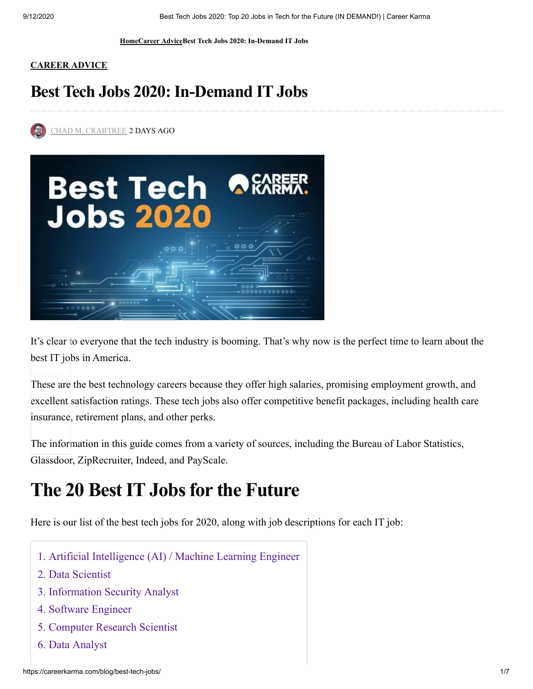**[Home](https://careerkarma.com/blog/)[Career AdviceB](https://careerkarma.com/blog/advice-category/)est Tech Jobs 2020: In-Demand IT Jobs**

#### **[CAREER ADVICE](https://careerkarma.com/blog/advice-category/)**

### **Best Tech Jobs 2020:In-Demand IT Jobs**

[CHAD M. CRABTREE](https://careerkarma.com/blog/author/chadcrabtree/) 2 DAYS AGO



[It's clear t](http://www.facebook.com/sharer.php?u=https%3A%2F%2Fcareerkarma.com%2Fblog%2Fbest-tech-jobs%2F)o everyone that the tech industry is booming. That's why now is the perfect time to learn about the best IT jobs in America.

[These are](https://twitter.com/intent/tweet?text=Best+Tech+Jobs+2020%3A+In-Demand+IT+Jobs&url=https%3A%2F%2Fcareerkarma.com%2Fblog%2Fbest-tech-jobs%2F&via=career_karma) the best technology careers because they offer high salaries, promising employment growth, and excellent satisfaction ratings. These tech jobs also offer competitive benefit packages, including health care insurance, retirement plans, and other perks.

[The inform](https://www.linkedin.com/cws/share?url=https://careerkarma.com/blog/best-tech-jobs/)ation in this guide comes from a variety of sources, including the Bureau of Labor Statistics, Glassdoor, ZipRecruiter, Indeed, and PayScale.

# **The 20 BestIT Jobsfor the Future**

Here is our list of the best tech jobs for 2020, along with job descriptions for each IT job:

- [1. Artificial Intelligence \(AI\) / Machine Learning Engineer](https://careerkarma.com/blog/best-tech-jobs/#1-artificial-intelligence-(ai)-/-machine-learning-engineer)
- [2. Data Scientist](https://careerkarma.com/blog/best-tech-jobs/#2-data-scientist)
- [3. Information Security Analyst](https://careerkarma.com/blog/best-tech-jobs/#3-information-security-analyst)
- [4. Software Engineer](https://careerkarma.com/blog/best-tech-jobs/#4-software-engineer)
- [5. Computer Research Scientist](https://careerkarma.com/blog/best-tech-jobs/#5-computer-research-scientist)
- [6. Data Analyst](https://careerkarma.com/blog/best-tech-jobs/#6-data-analyst)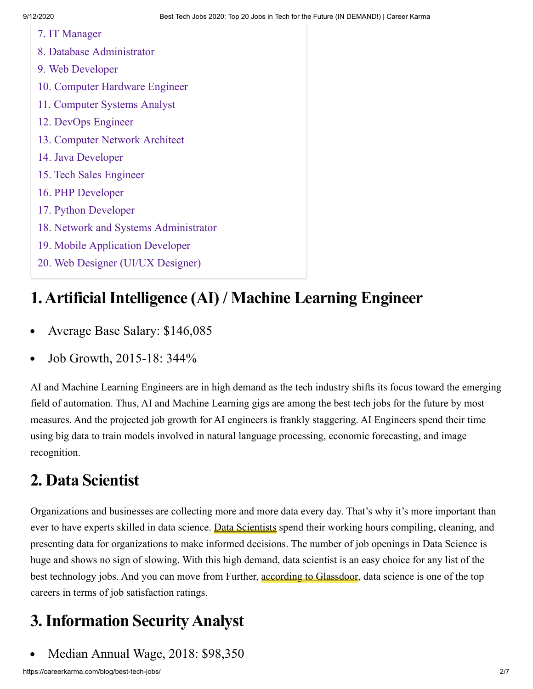- [7. IT Manager](https://careerkarma.com/blog/best-tech-jobs/#7-it-manager)
- [8. Database Administrator](https://careerkarma.com/blog/best-tech-jobs/#8-database-administrator)
- [9. Web Developer](https://careerkarma.com/blog/best-tech-jobs/#9-web-developer)
- [10. Computer Hardware Engineer](https://careerkarma.com/blog/best-tech-jobs/#10-computer-hardware-engineer)
- [11. Computer Systems Analyst](https://careerkarma.com/blog/best-tech-jobs/#11-computer-systems-analyst)
- [12. DevOps Engineer](https://careerkarma.com/blog/best-tech-jobs/#12-devops-engineer)
- [13. Computer Network Architect](https://careerkarma.com/blog/best-tech-jobs/#13-computer-network-architect)
- [14. Java Developer](https://careerkarma.com/blog/best-tech-jobs/#14-java-developer)
- [15. Tech Sales Engineer](https://careerkarma.com/blog/best-tech-jobs/#15-tech-sales-engineer)
- [16. PHP Developer](https://careerkarma.com/blog/best-tech-jobs/#16-php-developer)
- [17. Python Developer](https://careerkarma.com/blog/best-tech-jobs/#17-python-developer)
- [18. Network and Systems Administrator](https://careerkarma.com/blog/best-tech-jobs/#18-network-and-systems-administrator)
- [19. Mobile Application Developer](https://careerkarma.com/blog/best-tech-jobs/#19-mobile-application-developer)
- [20. Web Designer \(UI/UX Designer\)](https://careerkarma.com/blog/best-tech-jobs/#20-web-designer-(ui/ux-designer))

### **1.ArtificialIntelligence (AI) / Machine Learning Engineer**

- Average Base Salary: \$146,085
- Job Growth, 2015-18: 344%

AI and Machine Learning Engineers are in high demand as the tech industry shifts its focus toward the emerging field of automation. Thus, AI and Machine Learning gigs are among the best tech jobs for the future by most measures. And the projected job growth for AI engineers is frankly staggering. AI Engineers spend their time using big data to train models involved in natural language processing, economic forecasting, and image recognition.

### **2. Data Scientist**

Organizations and businesses are collecting more and more data every day. That's why it's more important than ever to have experts skilled in data science. [Data Scientists](https://careerkarma.com/careers/data-science/) spend their working hours compiling, cleaning, and presenting data for organizations to make informed decisions. The number of job openings in Data Science is huge and shows no sign of slowing. With this high demand, data scientist is an easy choice for any list of the best technology jobs. And you can move from Further, [according to Glassdoor,](https://www.glassdoor.com/blog/jobs-highest-satisfaction-2019/) data science is one of the top careers in terms of job satisfaction ratings.

# **3.Information SecurityAnalyst**

Median Annual Wage, 2018: \$98,350  $\bullet$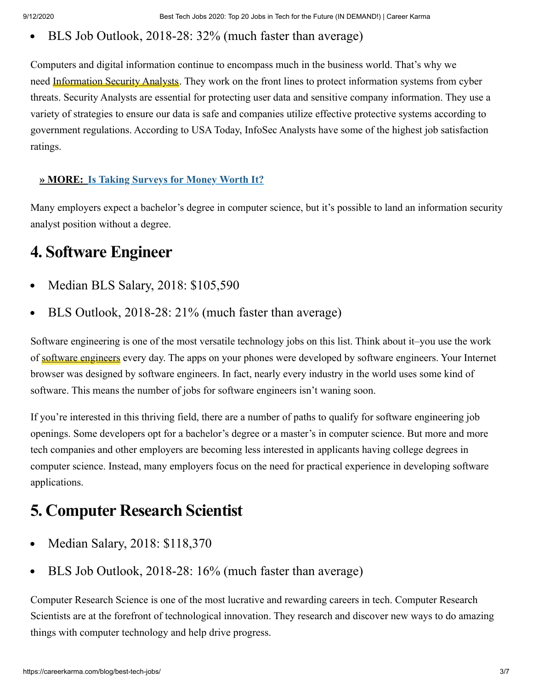#### BLS Job Outlook, 2018-28: 32% (much faster than average)  $\bullet$

Computers and digital information continue to encompass much in the business world. That's why we need [Information Security](https://careerkarma.com/careers/information-security-analyst/) Analysts. They work on the front lines to protect information systems from cyber threats. Security Analysts are essential for protecting user data and sensitive company information. They use a variety of strategies to ensure our data is safe and companies utilize effective protective systems according to government regulations. According to USA Today, InfoSec Analysts have some of the highest job satisfaction ratings.

#### **» MORE: [Is Taking Surveys for Money Worth It?](https://careerkarma.com/blog/is-taking-online-surveys-worth-it/)**

Many employers expect a bachelor's degree in computer science, but it's possible to land an information security analyst position without a degree.

### **4. Software Engineer**

- Median BLS Salary, 2018: \$105,590  $\bullet$
- BLS Outlook, 2018-28: 21% (much faster than average)

Software engineering is one of the most versatile technology jobs on this list. Think about it–you use the work of [software engineers](https://careerkarma.com/careers/software-engineer/) every day. The apps on your phones were developed by software engineers. Your Internet browser was designed by software engineers. In fact, nearly every industry in the world uses some kind of software. This means the number of jobs for software engineers isn't waning soon.

If you're interested in this thriving field, there are a number of paths to qualify for software engineering job openings. Some developers opt for a bachelor's degree or a master's in computer science. But more and more tech companies and other employers are becoming less interested in applicants having college degrees in computer science. Instead, many employers focus on the need for practical experience in developing software applications.

### **5. Computer Research Scientist**

- Median Salary, 2018: \$118,370  $\bullet$
- BLS Job Outlook, 2018-28: 16% (much faster than average)  $\bullet$

Computer Research Science is one of the most lucrative and rewarding careers in tech. Computer Research Scientists are at the forefront of technological innovation. They research and discover new ways to do amazing things with computer technology and help drive progress.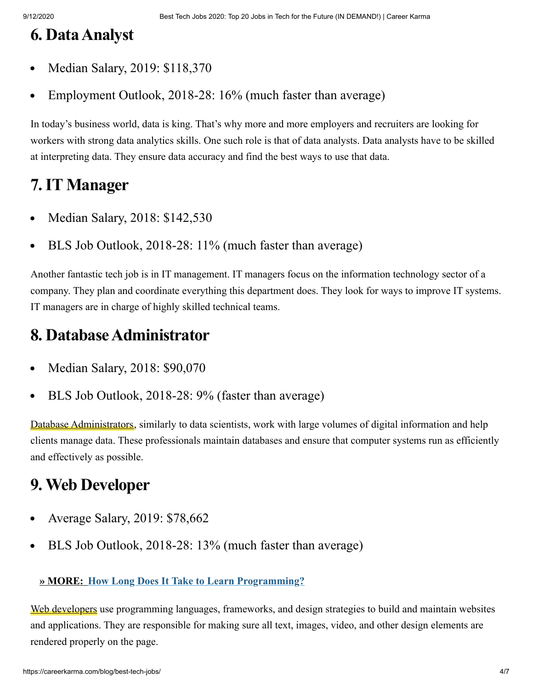### **6. DataAnalyst**

- Median Salary, 2019: \$118,370  $\bullet$
- Employment Outlook, 2018-28: 16% (much faster than average)  $\bullet$

In today's business world, data is king. That's why more and more employers and recruiters are looking for workers with strong data analytics skills. One such role is that of data analysts. Data analysts have to be skilled at interpreting data. They ensure data accuracy and find the best ways to use that data.

### **7.IT Manager**

- Median Salary, 2018: \$142,530  $\bullet$
- BLS Job Outlook, 2018-28: 11% (much faster than average)  $\bullet$

Another fantastic tech job is in IT management. IT managers focus on the information technology sector of a company. They plan and coordinate everything this department does. They look for ways to improve IT systems. IT managers are in charge of highly skilled technical teams.

### **8. DatabaseAdministrator**

- Median Salary, 2018: \$90,070  $\bullet$
- BLS Job Outlook, 2018-28: 9% (faster than average)  $\bullet$

[Database Administrators,](https://careerkarma.com/careers/database-administration/) similarly to data scientists, work with large volumes of digital information and help clients manage data. These professionals maintain databases and ensure that computer systems run as efficiently and effectively as possible.

### **9. Web Developer**

- Average Salary, 2019: \$78,662  $\bullet$
- BLS Job Outlook, 2018-28: 13% (much faster than average)  $\bullet$

#### **» MORE: [How Long Does It Take to Learn Programming?](https://careerkarma.com/blog/how-long-does-it-take-to-learn-programming/)**

[Web developers](https://careerkarma.com/careers/web-development/) use programming languages, frameworks, and design strategies to build and maintain websites and applications. They are responsible for making sure all text, images, video, and other design elements are rendered properly on the page.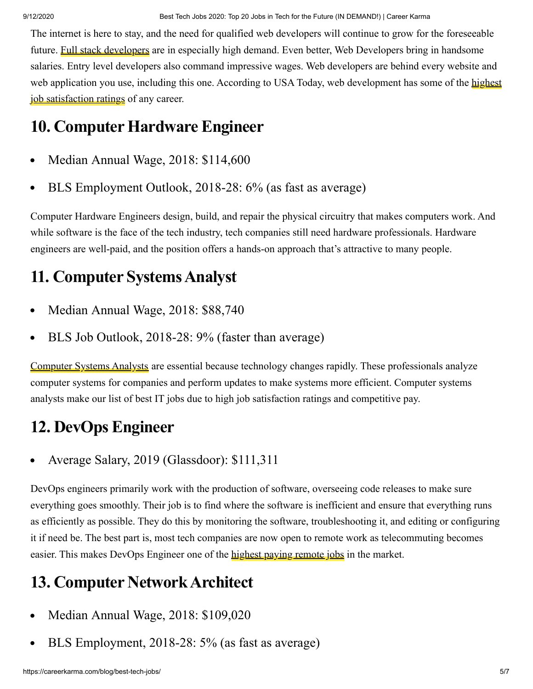The internet is here to stay, and the need for qualified web developers will continue to grow for the foreseeable future. **[Full stack developers](https://careerkarma.com/blog/full-stack-developer/)** are in especially high demand. Even better, Web Developers bring in handsome salaries. Entry level developers also command impressive wages. Web developers are behind every website and [web application you use, including this one. According to USA](https://www.usatoday.com/story/money/2019/04/09/the-best-jobs-in-america/39304733/) Today, web development has some of the highest job satisfaction ratings of any career.

# **10. Computer Hardware Engineer**

- Median Annual Wage, 2018: \$114,600  $\bullet$
- BLS Employment Outlook, 2018-28: 6% (as fast as average)  $\bullet$

Computer Hardware Engineers design, build, and repair the physical circuitry that makes computers work. And while software is the face of the tech industry, tech companies still need hardware professionals. Hardware engineers are well-paid, and the position offers a hands-on approach that's attractive to many people.

# **11. Computer SystemsAnalyst**

- Median Annual Wage, 2018: \$88,740  $\bullet$
- BLS Job Outlook, 2018-28: 9% (faster than average)  $\bullet$

[Computer Systems Analysts](https://careerkarma.com/careers/computer-systems-analyst/) are essential because technology changes rapidly. These professionals analyze computer systems for companies and perform updates to make systems more efficient. Computer systems analysts make our list of best IT jobs due to high job satisfaction ratings and competitive pay.

# **12. DevOps Engineer**

Average Salary, 2019 (Glassdoor): \$111,311

DevOps engineers primarily work with the production of software, overseeing code releases to make sure everything goes smoothly. Their job is to find where the software is inefficient and ensure that everything runs as efficiently as possible. They do this by monitoring the software, troubleshooting it, and editing or configuring it if need be. The best part is, most tech companies are now open to remote work as telecommuting becomes easier. This makes DevOps Engineer one of the [highest paying remote jobs](https://biz30.timedoctor.com/high-paying-remote-jobs/) in the market.

# **13. Computer NetworkArchitect**

- Median Annual Wage, 2018: \$109,020  $\bullet$
- BLS Employment, 2018-28: 5% (as fast as average)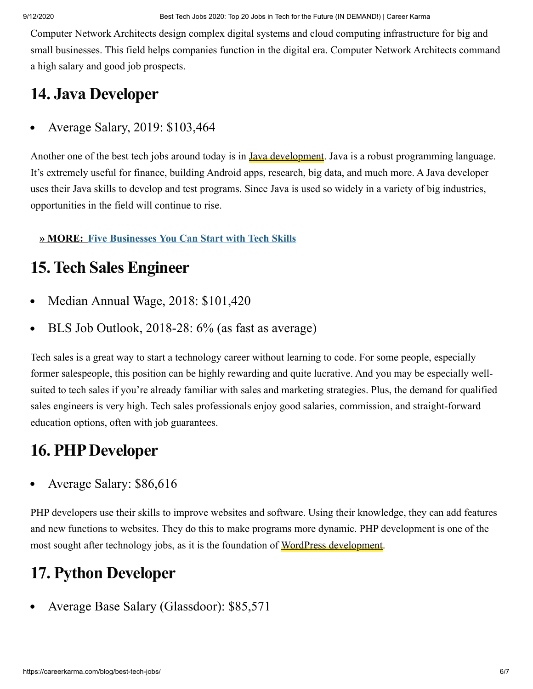Computer Network Architects design complex digital systems and cloud computing infrastructure for big and small businesses. This field helps companies function in the digital era. Computer Network Architects command a high salary and good job prospects.

### **14. Java Developer**

Average Salary, 2019: \$103,464

Another one of the best tech jobs around today is in **[Java development](https://careerkarma.com/blog/how-to-learn-java/)**. Java is a robust programming language. It's extremely useful for finance, building Android apps, research, big data, and much more. A Java developer uses their Java skills to develop and test programs. Since Java is used so widely in a variety of big industries, opportunities in the field will continue to rise.

### **» MORE: [Five Businesses You Can Start with Tech Skills](https://careerkarma.com/blog/five-businesses-you-can-start-with-tech-skills/)**

### **15. Tech Sales Engineer**

- Median Annual Wage, 2018: \$101,420  $\bullet$
- BLS Job Outlook, 2018-28: 6% (as fast as average)  $\bullet$

Tech sales is a great way to start a technology career without learning to code. For some people, especially former salespeople, this position can be highly rewarding and quite lucrative. And you may be especially wellsuited to tech sales if you're already familiar with sales and marketing strategies. Plus, the demand for qualified sales engineers is very high. Tech sales professionals enjoy good salaries, commission, and straight-forward education options, often with job guarantees.

### 16. PHP Developer

Average Salary: \$86,616  $\bullet$ 

PHP developers use their skills to improve websites and software. Using their knowledge, they can add features and new functions to websites. They do this to make programs more dynamic. PHP development is one of the most sought after technology jobs, as it is the foundation of [WordPress development.](https://careerkarma.com/careers/wordpress-developer/)

### **17. Python Developer**

Average Base Salary (Glassdoor): \$85,571